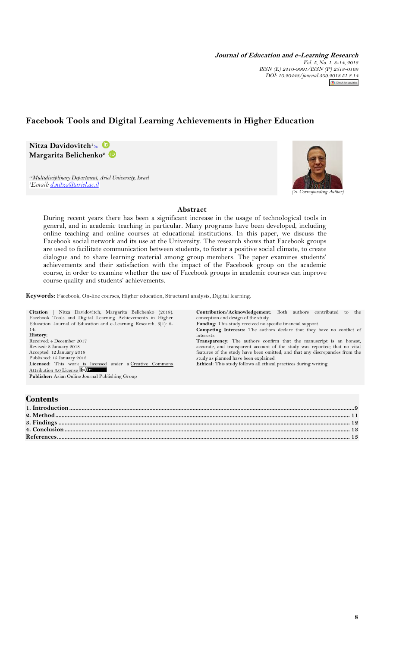**Journal of Education and e-Learning Research** *Vol. 5, No. 1, 8-14, 2018 ISSN (E) 2410-9991/ISSN (P) 2518-0169 DOI: 10.20448/journal.509.2018.51.8.14*

# **Facebook Tools and Digital Learning Achievements in Higher Education**

**Nitza Davidovitch<sup>1</sup>** **Margarita Belichenko<sup>2</sup>**

*1,2Multidisciplinary Department, Ariel University, Israel* 'Email: <u>d.nitza@ariel.ac.il</u>



**Abstract**

During recent years there has been a significant increase in the usage of technological tools in general, and in academic teaching in particular. Many programs have been developed, including online teaching and online courses at educational institutions. In this paper, we discuss the Facebook social network and its use at the University. The research shows that Facebook groups are used to facilitate communication between students, to foster a positive social climate, to create dialogue and to share learning material among group members. The paper examines students' achievements and their satisfaction with the impact of the Facebook group on the academic course, in order to examine whether the use of Facebook groups in academic courses can improve course quality and students' achievements.

**Keywords:** Facebook, On-line courses, Higher education, Structural analysis, Digital learning.

**Citation** | Nitza Davidovitch; Margarita Belichenko (2018). Facebook Tools and Digital Learning Achievements in Higher Education. Journal of Education and e-Learning Research, 5(1): 8- 14. **History:** Received: 4 December 2017 Revised: 8 January 2018 Accepted: 12 January 2018 Published: 15 January 2018 Licensed: This work is licensed under a Creative Commons [Attribution 3.0 License](http://creativecommons.org/licenses/by/3.0/) **Publisher:** Asian Online Journal Publishing Group

**Contribution/Acknowledgement:** Both authors contributed to the conception and design of the study. **Funding:** This study received no specific financial support. **Competing Interests:** The authors declare that they have no conflict of interests. **Transparency:** The authors confirm that the manuscript is an honest, accurate, and transparent account of the study was reported; that no vital features of the study have been omitted; and that any discrepancies from the study as planned have been explained.

**Ethical:** This study follows all ethical practices during writing.

## **Contents**

| сопісніз |  |
|----------|--|
|          |  |
|          |  |
|          |  |
|          |  |
|          |  |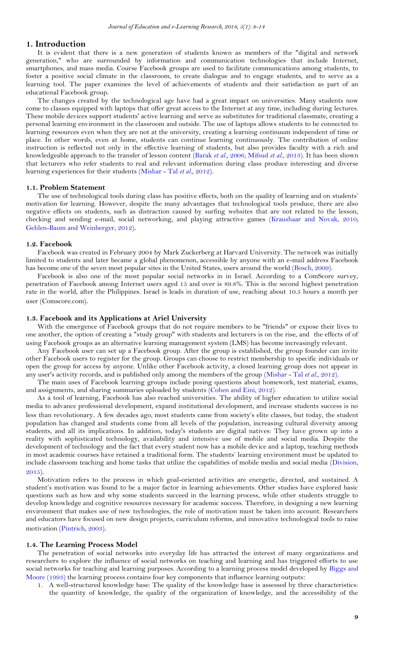#### <span id="page-1-0"></span>**1. Introduction**

It is evident that there is a new generation of students known as members of the "digital and network generation," who are surrounded by information and communication technologies that include Internet, smartphones, and mass media. Course Facebook groups are used to facilitate communications among students, to foster a positive social climate in the classroom, to create dialogue and to engage students, and to serve as a learning tool. The paper examines the level of achievements of students and their satisfaction as part of an educational Facebook group.

The changes created by the technological age have had a great impact on universities. Many students now come to classes equipped with laptops that offer great access to the Internet at any time, including during lectures. These mobile devices support students' active learning and serve as substitutes for traditional classmate, creating a personal learning environment in the classroom and outside. The use of laptops allows students to be connected to learning resources even when they are not at the university, creating a learning continuum independent of time or place. In other words, even at home, students can continue learning continuously. The contribution of online instruction is reflected not only in the effective learning of students, but also provides faculty with a rich and knowledgeable approach to the transfer of lesson content [\(Barak](#page-5-2) *et al.*, 2006[; Mifsud](#page-5-3) *et al.*, 2013). It has been shown that lecturers who refer students to real and relevant information during class produce interesting and diverse learning experiences for their students [\(Mishar -](#page-5-4) Tal *et al.*, 2012).

#### **1.1. Problem Statement**

The use of technological tools during class has positive effects, both on the quality of learning and on students' motivation for learning. However, despite the many advantages that technological tools produce, there are also negative effects on students, such as distraction caused by surfing websites that are not related to the lesson, checking and sending e-mail, social networking, and playing attractive games [\(Kraushaar and Novak, 2010;](#page-5-5) [Gehlen-Baum and Weinberger, 2012\)](#page-5-6).

#### **1.2. Facebook**

Facebook was created in February 2004 by Mark Zuckerberg at Harvard University. The network was initially limited to students and later became a global phenomenon, accessible by anyone with an e-mail address Facebook has become one of the seven most popular sites in the United States, users around the world [\(Bosch, 2009\)](#page-5-7).

Facebook is also one of the most popular social networks in in Israel. According to a ComScore survey, penetration of Facebook among Internet users aged 15 and over is 89.8%. This is the second highest penetration rate in the world, after the Philippines. Israel is leads in duration of use, reaching about 10.5 hours a month per user (Comscore.com).

#### **1.3. Facebook and its Applications at Ariel University**

With the emergence of Facebook groups that do not require members to be "friends" or expose their lives to one another, the option of creating a "study group" with students and lecturers is on the rise, and the effects of of using Facebook groups as an alternative learning management system (LMS) has become increasingly relevant.

Any Facebook user can set up a Facebook group. After the group is established, the group founder can invite other Facebook users to register for the group. Groups can choose to restrict membership to specific individuals or open the group for access by anyone. Unlike other Facebook activity, a closed learning group does not appear in any user's activity records, and is published only among the members of the group [\(Mishar -](#page-5-4) Tal *et al.*, 2012).

The main uses of Facebook learning groups include posing questions about homework, test material, exams, and assignments, and sharing summaries uploaded by students [\(Cohen and Eini, 2012\)](#page-5-8).

As a tool of learning, Facebook has also reached universities. The ability of higher education to utilize social media to advance professional development, expand institutional development, and increase students success is no less than revolutionary. A few decades ago, most students came from society's elite classes, but today, the student population has changed and students come from all levels of the population, increasing cultural diversity among students, and all its implications. In addition, today's students are digital natives: They have grown up into a reality with sophisticated technology, availability and intensive use of mobile and social media. Despite the development of technology and the fact that every student now has a mobile device and a laptop, teaching methods in most academic courses have retained a traditional form. The students' learning environment must be updated to include classroom teaching and home tasks that utilize the capabilities of mobile media and social media [\(Division,](#page-5-9)  [2015\)](#page-5-9).

Motivation refers to the process in which goal-oriented activities are energetic, directed, and sustained. A student's motivation was found to be a major factor in learning achievements. Other studies have explored basic questions such as how and why some students succeed in the learning process, while other students struggle to develop knowledge and cognitive resources necessary for academic success. Therefore, in designing a new learning environment that makes use of new technologies, the role of motivation must be taken into account. Researchers and educators have focused on new design projects, curriculum reforms, and innovative technological tools to raise motivation [\(Pintrich, 2003\)](#page-6-0).

#### **1.4. The Learning Process Model**

The penetration of social networks into everyday life has attracted the interest of many organizations and researchers to explore the influence of social networks on teaching and learning and has triggered efforts to use social networks for teaching and learning purposes. According to a learning process model developed by [Biggs and](#page-5-10)  [Moore \(1993\)](#page-5-10) the learning process contains four key components that influence learning outputs:

1. A well-structured knowledge base: The quality of the knowledge base is assessed by three characteristics: the quantity of knowledge, the quality of the organization of knowledge, and the accessibility of the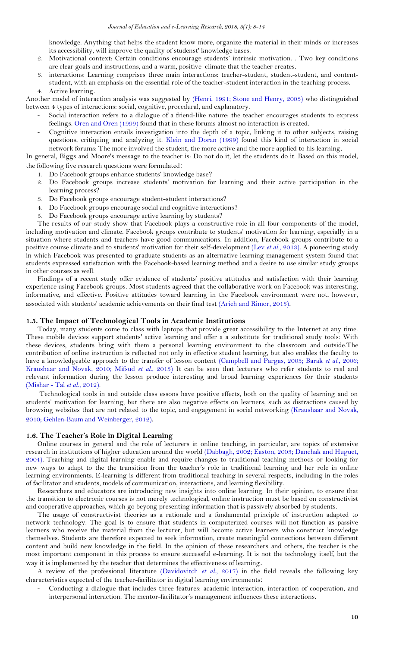knowledge. Anything that helps the student know more, organize the material in their minds or increases its accessibility, will improve the quality of studenst' knowledge bases.

- 2. Motivational context: Certain conditions encourage students' intrinsic motivation. . Two key conditions are clear goals and instructions, and a warm, positive climate that the teacher creates.
- 3. interactions: Learning comprises three main interactions: teacher-student, student-student, and contentstudent, with an emphasis on the essential role of the teacher-student interaction in the teaching process. 4. Active learning.

Another model of interaction analysis was suggested by [\(Henri, 1991;](#page-5-11) [Stone and Henry, 2003\)](#page-6-1) who distinguished between 4 types of interactions: social, cognitive, procedural, and explanatory.

- Social interaction refers to a dialogue of a friend-like nature: the teacher encourages students to express feelings. [Oren and Oren \(1999\)](#page-5-12) found that in these forums almost no interaction is created.
- Cognitive interaction entails investigation into the depth of a topic, linking it to other subjects, raising questions, critiquing and analyzing it. [Klein and Doran \(1999\)](#page-5-13) found this kind of interaction in social network forums: The more involved the student, the more active and the more applied to his learning.

In general, Biggs and Moore's message to the teacher is: Do not do it, let the students do it. Based on this model,

the following five research questions were formulated:

- 1. Do Facebook groups enhance students' knowledge base?
- 2. Do Facebook groups increase students' motivation for learning and their active participation in the learning process?
- 3. Do Facebook groups encourage student-student interactions?
- 4. Do Facebook groups encourage social and cognitive interactions?
- 5. Do Facebook groups encourage active learning by students?

The results of our study show that Facebook plays a constructive role in all four components of the model, including motivation and climate. Facebook groups contribute to students' motivation for learning, especially in a situation where students and teachers have good communications. In addition, Facebook groups contribute to a positive course climate and to students' motivation for their self-development (Lev *et al.*[, 2013\)](#page-5-14). A pioneering study in which Facebook was presented to graduate students as an alternative learning management system found that students expressed satisfaction with the Facebook-based learning method and a desire to use similar study groups in other courses as well.

Findings of a recent study offer evidence of students' positive attitudes and satisfaction with their learning experience using Facebook groups. Most students agreed that the collaborative work on Facebook was interesting, informative, and effective. Positive attitudes toward learning in the Facebook environment were not, however, associated with students' academic achievements on their final test [\(Arieh and Rimor, 2013\)](#page-5-15).

#### **1.5. The Impact of Technological Tools in Academic Institutions**

Today, many students come to class with laptops that provide great accessibility to the Internet at any time. These mobile devices support students' active learning and offer a a substitute for traditional study tools: With these devices, students bring with them a personal learning environment to the classroom and outside.The contribution of online instruction is reflected not only in effective student learning, but also enables the faculty to have a knowledgeable approach to the transfer of lesson content [\(Campbell and Pargas, 2003;](#page-5-16) Barak *et al.*[, 2006;](#page-5-2) [Kraushaar and Novak, 2010;](#page-5-5) [Mifsud](#page-5-3) *et al.*, 2013) It can be seen that lecturers who refer students to real and relevant information during the lesson produce interesting and broad learning experiences for their students [\(Mishar -](#page-5-4) Tal *et al.*, 2012).

Technological tools in and outside class essons have positive effects, both on the quality of learning and on students' motivation for learning, but there are also negative effects on learners, such as distractions caused by browsing websites that are not related to the topic, and engagement in social networking [\(Kraushaar and Novak,](#page-5-5)  [2010;](#page-5-5) [Gehlen-Baum and Weinberger, 2012\)](#page-5-6).

#### **1.6. The Teacher's Role in Digital Learning**

Online courses in general and the role of lecturers in online teaching, in particular, are topics of extensive research in institutions of higher education around the world [\(Dabbagh, 2002;](#page-5-17) [Easton, 2003;](#page-5-18) [Danchak and Huguet,](#page-5-19)  [2004\)](#page-5-19). Teaching and digital learning enable and require changes to traditional teaching methods or looking for new ways to adapt to the the transition from the teacher's role in traditional learning and her role in online learning environments. E-learning is different from traditional teaching in several respects, including in the roles of facilitator and students, models of communication, interactions, and learning flexibility.

Researchers and educators are introducing new insights into online learning. In their opinion, to ensure that the transition to electronic courses is not merely technological, online instruction must be based on constructivist and cooperative approaches, which go beyong presenting information that is passively absorbed by students.

The usage of constructivist theories as a rationale and a fundamental principle of instruction adapted to network technology. The goal is to ensure that students in computerized courses will not function as passive learners who receive the material from the lecturer, but will become active learners who construct knowledge themselves. Students are therefore expected to seek information, create meaningful connections between different content and build new knowledge in the field. In the opinion of these researchers and others, the teacher is the most important component in this process to ensure successful e-learning. It is not the technology itself, but the way it is implemented by the teacher that determines the effectiveness of learning.

A review of the professional literature [\(Davidovitch](#page-5-20) *et al.*, 2017) in the field reveals the following key characteristics expected of the teacher-facilitator in digital learning environments:

- Conducting a dialogue that includes three features: academic interaction, interaction of cooperation, and interpersonal interaction. The mentor-facilitator's management influences these interactions.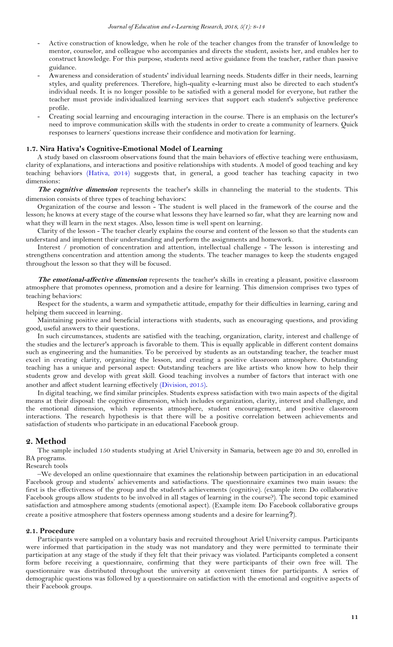- Active construction of knowledge, when he role of the teacher changes from the transfer of knowledge to mentor, counselor, and colleague who accompanies and directs the student, assists her, and enables her to construct knowledge. For this purpose, students need active guidance from the teacher, rather than passive guidance.
- Awareness and consideration of students' individual learning needs. Students differ in their needs, learning styles, and quality preferences. Therefore, high-quality e-learning must also be directed to each student's individual needs. It is no longer possible to be satisfied with a general model for everyone, but rather the teacher must provide individualized learning services that support each student's subjective preference profile.
- Creating social learning and encouraging interaction in the course. There is an emphasis on the lecturer's need to improve communication skills with the students in order to create a community of learners. Quick responses to learners' questions increase their confidence and motivation for learning.

#### **1.7. Nira Hativa's Cognitive-Emotional Model of Learning**

A study based on classroom observations found that the main behaviors of effective teaching were enthusiasm, clarity of explanations, and interactions and positive relationships with students. A model of good teaching and key teaching behaviors [\(Hativa, 2014\)](#page-5-21) suggests that, in general, a good teacher has teaching capacity in two dimensions:

**The cognitive dimension** represents the teacher's skills in channeling the material to the students. This dimension consists of three types of teaching behaviors:

Organization of the course and lesson - The student is well placed in the framework of the course and the lesson; he knows at every stage of the course what lessons they have learned so far, what they are learning now and what they will learn in the next stages. Also, lesson time is well spent on learning.

Clarity of the lesson - The teacher clearly explains the course and content of the lesson so that the students can understand and implement their understanding and perform the assignments and homework.

Interest / promotion of concentration and attention, intellectual challenge - The lesson is interesting and strengthens concentration and attention among the students. The teacher manages to keep the students engaged throughout the lesson so that they will be focused.

**The emotional-affective dimension** represents the teacher's skills in creating a pleasant, positive classroom atmosphere that promotes openness, promotion and a desire for learning. This dimension comprises two types of teaching behaviors:

Respect for the students, a warm and sympathetic attitude, empathy for their difficulties in learning, caring and helping them succeed in learning.

Maintaining positive and beneficial interactions with students, such as encouraging questions, and providing good, useful answers to their questions.

In such circumstances, students are satisfied with the teaching, organization, clarity, interest and challenge of the studies and the lecturer's approach is favorable to them. This is equally applicable in different content domains such as engineering and the humanities. To be perceived by students as an outstanding teacher, the teacher must excel in creating clarity, organizing the lesson, and creating a positive classroom atmosphere. Outstanding teaching has a unique and personal aspect: Outstanding teachers are like artists who know how to help their students grow and develop with great skill. Good teaching involves a number of factors that interact with one another and affect student learning effectively [\(Division, 2015\)](#page-5-9).

In digital teaching, we find similar principles. Students express satisfaction with two main aspects of the digital means at their disposal: the cognitive dimension, which includes organization, clarity, interest and challenge, and the emotional dimension, which represents atmosphere, student encouragement, and positive classroom interactions. The research hypothesis is that there will be a positive correlation between achievements and satisfaction of students who participate in an educational Facebook group.

#### <span id="page-3-0"></span>**2. Method**

The sample included 150 students studying at Ariel University in Samaria, between age 20 and 30, enrolled in BA programs.

Research tools

–We developed an online questionnaire that examines the relationship between participation in an educational Facebook group and students' achievements and satisfactions. The questionnaire examines two main issues: the first is the effectiveness of the group and the student's achievements (cognitive). (example item: Do collaborative Facebook groups allow students to be involved in all stages of learning in the course?). The second topic examined satisfaction and atmosphere among students (emotional aspect). (Example item: Do Facebook collaborative groups create a positive atmosphere that fosters openness among students and a desire for learning?).

#### **2.1. Procedure**

Participants were sampled on a voluntary basis and recruited throughout Ariel University campus. Participants were informed that participation in the study was not mandatory and they were permitted to terminate their participation at any stage of the study if they felt that their privacy was violated. Participants completed a consent form before receiving a questionnaire, confirming that they were participants of their own free will. The questionnaire was distributed throughout the university at convenient times for participants. A series of demographic questions was followed by a questionnaire on satisfaction with the emotional and cognitive aspects of their Facebook groups.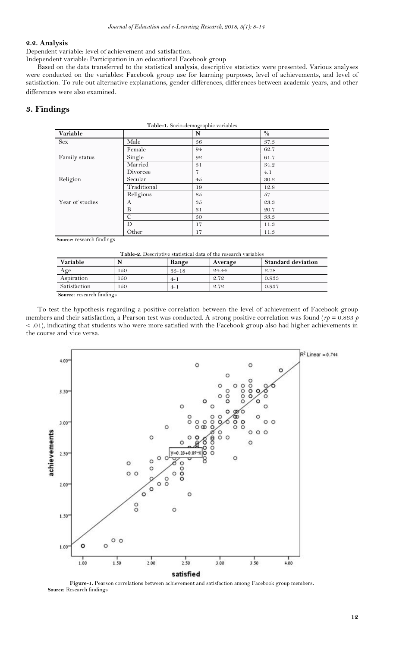#### **2.2. Analysis**

Dependent variable: level of achievement and satisfaction.

Independent variable: Participation in an educational Facebook group

Based on the data transferred to the statistical analysis, descriptive statistics were presented. Various analyses were conducted on the variables: Facebook group use for learning purposes, level of achievements, and level of satisfaction. To rule out alternative explanations, gender differences, differences between academic years, and other differences were also examined.

### <span id="page-4-0"></span>**3. Findings**

| Table-1. Socio-demographic variables |             |                |      |  |  |
|--------------------------------------|-------------|----------------|------|--|--|
| Variable                             |             | N              | $\%$ |  |  |
| <b>Sex</b>                           | Male        | 56             | 37.3 |  |  |
|                                      | Female      | 94             | 62.7 |  |  |
| Family status                        | Single      | 92             | 61.7 |  |  |
|                                      | Married     | 51             | 34.2 |  |  |
|                                      | Divorcee    | $\overline{7}$ | 4.1  |  |  |
| Religion                             | Secular     | 45             | 30.2 |  |  |
|                                      | Traditional | 19             | 12.8 |  |  |
|                                      | Religious   | 85             | 57   |  |  |
| Year of studies                      | A           | 35             | 23.3 |  |  |
|                                      | B           | 31             | 20.7 |  |  |
|                                      | C           | 50             | 33.3 |  |  |
|                                      | D           | 17             | 11.3 |  |  |
|                                      | Other       | 17             | 11.3 |  |  |

 **Source:** research findings

| Table-2. Descriptive statistical data of the research variables |  |  |
|-----------------------------------------------------------------|--|--|
|                                                                 |  |  |

| Variable     |     | Range     | Average | <b>Standard deviation</b> |  |  |  |
|--------------|-----|-----------|---------|---------------------------|--|--|--|
| Age          | 150 | $35 - 18$ | 24.44   | 2.78                      |  |  |  |
| Aspiration   | 150 | $4 - 1$   | 2.72    | 0.933                     |  |  |  |
| Satisfaction | 150 | $4 - 1$   | 2.72    | 0.937                     |  |  |  |
| $\sim$       |     |           |         |                           |  |  |  |

 **Source:** research findings

To test the hypothesis regarding a positive correlation between the level of achievement of Facebook group members and their satisfaction, a Pearson test was conducted. A strong positive correlation was found (*rp* = 0.863 *p* < .01), indicating that students who were more satisfied with the Facebook group also had higher achievements in the course and vice versa.



**Figure-1.** Pearson correlations between achievement and satisfaction among Facebook group members.  **Source:** Research findings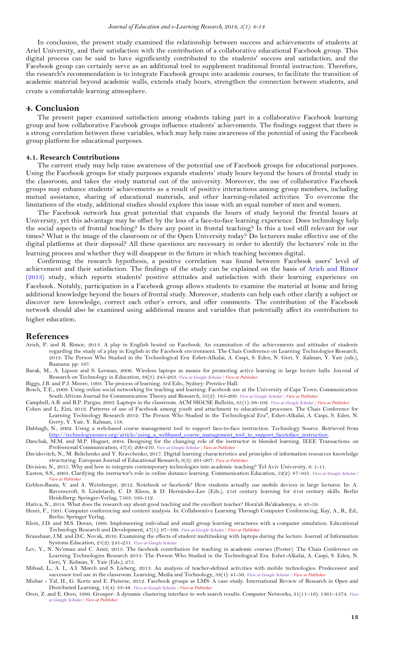In conclusion, the present study examined the relationship between success and achievements of students at Ariel University, and their satisfaction with the contribution of a collaborative educational Facebook group. This digital process can be said to have significantly contributed to the students' success and satisfaction, and the Facebook group can certainly serve as an additional tool to supplement traditional frontal instruction. Therefore, the research's recommendation is to integrate Facebook groups into academic courses, to facilitate the transition of academic material beyond academic walls, extends study hours, strengthen the connection between students, and create a comfortable learning atmosphere.

#### <span id="page-5-0"></span>**4. Conclusion**

The present paper examined satisfaction among students taking part in a collaborative Facebook learning group and how collaborative Facebook groups influence students' achievements. The findings suggest that there is a strong correlation between these variables, which may help raise awareness of the potential of using the Facebook group platform for educational purposes.

#### **4.1. Research Contributions**

The current study may help raise awareness of the potential use of Facebook groups for educational purposes. Using the Facebook groups for study purposes expands students' study hours beyond the hours of frontal study in the classroom, and takes the study material out of the university. Moreover, the use of collaborative Facebook groups may enhance students' achievements as a result of positive interactions among group members, including mutual assistance, sharing of educational materials, and other learning-related activities. To overcome the limitations of the study, additional studies should explore this issue with an equal number of men and women.

The Facebook network has great potential that expands the hours of study beyond the frontal hours at University, yet this advantage may be offset by the loss of a face-to-face learning experience. Does technology help the social aspects of frontal teaching? Is there any point in frontal teaching? Is this a tool still relevant for our times? What is the image of the classroom or of the Open University today? Do lecturers make effective use of the digital platforms at their disposal? All these questions are necessary in order to identify the lecturers' role in the learning process and whether they will disappear in the future in which teaching becomes digital.

Confirming the research hypothesis, a positive correlation was found between Facebook users' level of achievement and their satisfaction. The findings of the study can be explained on the basis of [Arieh and Rimor](#page-5-15)  [\(2013\)](#page-5-15) study, which reports students' positive attitudes and satisfaction with their learning experience on Facebook. Notably, participation in a Facebook group allows students to examine the material at home and bring additional knowledge beyond the hours of frontal study. Moreover, students can help each other clarify a subject or discover new knowledge, correct each other's errors, and offer comments. The contribution of the Facebook network should also be examined using additional means and variables that potentially affect its contribution to higher education.

#### <span id="page-5-1"></span>**References**

- <span id="page-5-15"></span>Arieh, P. and R. Rimor, 2013. A play in English hosted on Facebook: An examination of the achievements and attitudes of students regarding the study of a play in English in the Facebook environment. The Chais Conference on Learning Technologies Research, 2013: The Person Who Studied in the Technological Era: Eshet-Alkalai, A. Caspi, S. Eden, N. Geri, Y. Kalman, Y. Yair (eds.), Raanana. pp: 197.
- <span id="page-5-2"></span>Barak, M., A. Lipson and S. Lerman, 2006. Wireless laptops as means for promoting active learning in large lecture halls. Journal of Research on Technology in Education, 38(3): 245-263. *View at Google [Scholar](https://scholar.google.com/scholar?hl=en&q=Wireless%20laptops%20as%20means%20for%20promoting%20active%20learning%20in%20large%20lecture%20halls) | View at [Publisher](http://dx.doi.org/10.1080/15391523.2006.10782459)*
- <span id="page-5-10"></span>Biggs, J.B. and P.J. Moore, 1993. The process of learning. 3rd Edn., Sydney: Prentice Hall.
- <span id="page-5-7"></span>Bosch, T.E., 2009. Using online social networking for teaching and learning: Facebook use at the University of Cape Town. Communication: South African Journal for Communication Theory and Research, 35(2): 185-200. *View at Google [Scholar](https://scholar.google.com/scholar?hl=en&q=Using%20online%20social%20networking%20for%20teaching%20and%20learning:%20Facebook%20use%20at%20the%20University%20of%20Cape%20Town) | View at [Publisher](http://dx.doi.org/10.1080/02500160903250648)*

<span id="page-5-16"></span>Campbell, A.B. and R.P. Pargas, 2003. Laptops in the classroom. ACM SIGCSE Bulletin, 35(1): 98-102. *View at Google [Scholar](https://scholar.google.com/scholar?hl=en&q=Laptops%20in%20the%20classroom) | View at [Publisher](http://dx.doi.org/10.1145/792548.611942)*

- <span id="page-5-8"></span>Cohen and L. Eini, 2012. Patterns of use of Facebook among youth and attachment to educational processes. The Chais Conference for Learning Technology Research 2012: The Person Who Studied in the Technological Era", Eshet-Alkalai, A. Caspi, S. Eden, N. Gerry, Y. Yair, Y. Kalman, 158.
- <span id="page-5-17"></span>Dabbagh, N., 2002. Using a web-based course management tool to support face-to-face instruction. Technology Source. Retrieved from [http://technologysource.org/article/using\\_a\\_webbased\\_course\\_management\\_tool\\_to\\_support\\_facetoface\\_instruction.](http://technologysource.org/article/using_a_webbased_course_management_tool_to_support_facetoface_instruction)

<span id="page-5-19"></span>Danchak, M.M. and M.P. Huguet, 2004. Designing for the changing role of the instructor in blended learning. IEEE Transactions on Professional Communication, 47(3): 200-210. *View at Google [Scholar](https://scholar.google.com/scholar?hl=en&q=Designing%20for%20the%20changing%20role%20of%20the%20instructor%20in%20blended%20learning) | View at [Publisher](http://dx.doi.org/10.1109/tpc.2004.833684)*

<span id="page-5-20"></span>Davidovitch, N., M. Belichenko and Y. Kravchenko, 2017. Digital learning characteristics and principles of information resources knowledge structuring. European Journal of Educational Research, 6(3): 261-267. *View at [Publisher](http://dx.doi.org/10.12973/eu-jer.6.3.261)*

<span id="page-5-9"></span>Division, N., 2015. Why and how to integrate contemporary technologies into academic teaching? Tel Aviv University, 6: 1-11.

- <span id="page-5-18"></span>Easton, S.S., 2003. Clarifying the instructor's role in online distance learning. Communication Education, 52(2): 87-105. *View at Google [Scholar](https://scholar.google.com/scholar?hl=en&q=Clarifying%20the%20instructor) |* **View** at Publishe
- <span id="page-5-6"></span>Gehlen-Baum, V. and A. Weinberger, 2012. Notebook or facebook? How students actually use mobile devices in large lectures. In: A. Ravenscroft, S. Lindstaedt, C. D. Kloos, & D. Hernández-Leo (Eds.), 21st century learning for 21st century skills. Berlin Heidelberg: Springer-Verlag, 7563: 103-112.

<span id="page-5-21"></span>Hativa, N., 2014. What does the research say about good teaching and the excellent teacher? Hora'ah Ba'akademya, 4: 43-59.

- <span id="page-5-11"></span>Henri, F., 1991. Computer conferencing and content analysis. In: Collaborative Learning Through Computer Conferencing, Kay, A., R., Ed., Berlin: Springer Verlag.
- <span id="page-5-13"></span>Klein, J.D. and M.S. Doran, 1999. Implementing individual and small group learning structures with a computer simulation. Educational Technology Research and Development, 47(1): 97–109. *View at Google [Scholar](https://scholar.google.com/scholar?hl=en&q=Implementing%20individual%20and%20small%20group%20learning%20structures%20with%20a%20computer%20simulation) | View at [Publisher](http://dx.doi.org/10.1007/bf02299479)*
- <span id="page-5-5"></span>Kraushaar, J.M. and D.C. Novak, 2010. Examining the effects of student multitasking with laptops during the lecture. Journal of Information Systems Education, 21(2): 241-251. *View at Google [Scholar](https://scholar.google.com/scholar?hl=en&q=Examining%20the%20effects%20of%20student%20multitasking%20with%20laptops%20during%20the%20lecture)*
- <span id="page-5-14"></span>Lev, Y., N. Ne'eman and C. Amit, 2013. The facebook contribution for teaching in academic courses (Poster). The Chais Conference on Learning Technologies Research 2013: The Person Who Studied in the Technological Era. Eshet-Alkalai, A. Caspi, S. Eden, N. Geri, Y. Kelman, Y. Yair (Eds.), 275.
- <span id="page-5-3"></span>Mifsud, L., A. I., A.I. Mørch and S. Lieberg, 2013. An analysis of teacher-defined activities with mobile technologies: Predecessor and successor tool use in the classroom. Learning, Media and Technology, 38(1): 41-56. *View at Google [Scholar](https://scholar.google.com/scholar?hl=en&q=An%20analysis%20of%20teacher-defined%20activities%20with%20mobile%20technologies:%20Predecessor%20and%20successor%20tool%20use%20in%20the%20classroom) | View at [Publisher](http://dx.doi.org/10.1080/17439884.2012.655746)*
- <span id="page-5-4"></span>Mishar - Tal, H., G. Kortz and E. Pieterse, 2012. Facebook groups as LMS: A case study. International Review of Research in Open and Distributed Learning, 13(4): 33-48. *View at Google [Scholar](https://scholar.google.com/scholar?hl=en&q=Facebook%20groups%20as%20LMS:%20A%20case%20study) | View at [Publisher](http://dx.doi.org/10.19173/irrodl.v13i4.1294)*
- <span id="page-5-12"></span>Oren, Z. and E. Oren, 1999. Grouper: A dynamic clustering interface to web search results. Computer Networks, 31(11–16): 1361–1374. *[View](https://scholar.google.com/scholar?hl=en&q=Grouper:%20A%20dynamic%20clustering%20interface%20to%20web%20search%20results) at Google [Scholar](https://scholar.google.com/scholar?hl=en&q=Grouper:%20A%20dynamic%20clustering%20interface%20to%20web%20search%20results) | View at [Publisher](http://dx.doi.org/10.1016/s1389-1286(99)00054-7)*